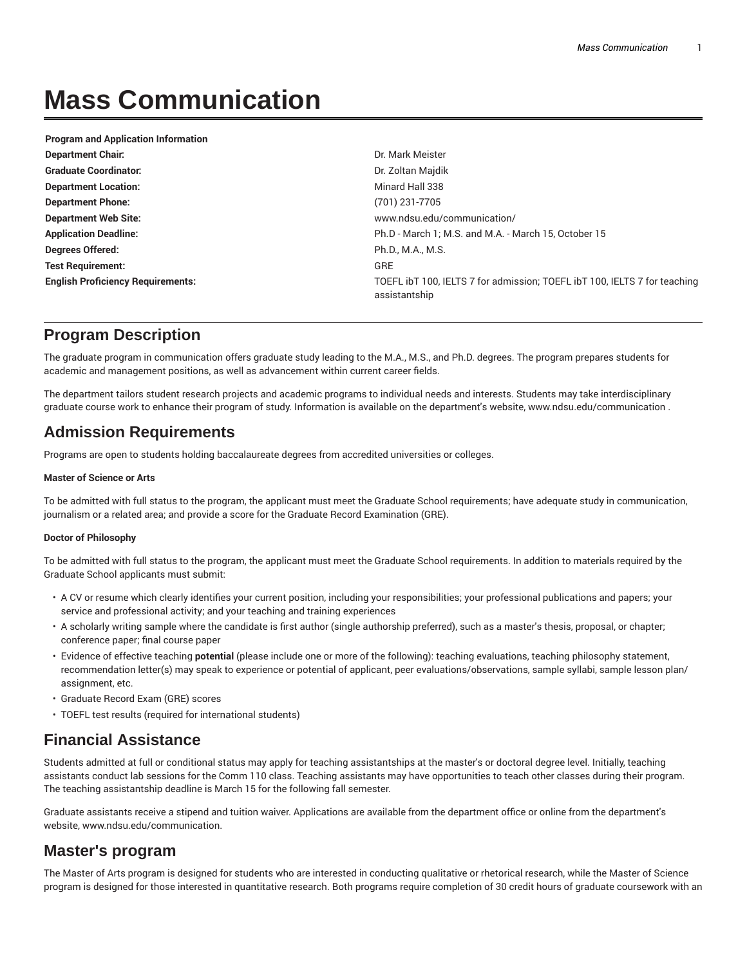# **Mass Communication**

| <b>Program and Application Information</b> |                                                                                            |
|--------------------------------------------|--------------------------------------------------------------------------------------------|
| <b>Department Chair.</b>                   | Dr. Mark Meister                                                                           |
| <b>Graduate Coordinator:</b>               | Dr. Zoltan Majdik                                                                          |
| <b>Department Location:</b>                | Minard Hall 338                                                                            |
| <b>Department Phone:</b>                   | (701) 231-7705                                                                             |
| <b>Department Web Site:</b>                | www.ndsu.edu/communication/                                                                |
| <b>Application Deadline:</b>               | Ph.D - March 1; M.S. and M.A. - March 15, October 15                                       |
| Degrees Offered:                           | Ph.D., M.A., M.S.                                                                          |
| <b>Test Requirement:</b>                   | GRE                                                                                        |
| <b>English Proficiency Requirements:</b>   | TOEFL IbT 100, IELTS 7 for admission; TOEFL IbT 100, IELTS 7 for teaching<br>assistantship |

# **Program Description**

The graduate program in communication offers graduate study leading to the M.A., M.S., and Ph.D. degrees. The program prepares students for academic and management positions, as well as advancement within current career fields.

The department tailors student research projects and academic programs to individual needs and interests. Students may take interdisciplinary graduate course work to enhance their program of study. Information is available on the department's website, www.ndsu.edu/communication .

# **Admission Requirements**

Programs are open to students holding baccalaureate degrees from accredited universities or colleges.

#### **Master of Science or Arts**

To be admitted with full status to the program, the applicant must meet the Graduate School requirements; have adequate study in communication, journalism or a related area; and provide a score for the Graduate Record Examination (GRE).

#### **Doctor of Philosophy**

To be admitted with full status to the program, the applicant must meet the Graduate School requirements. In addition to materials required by the Graduate School applicants must submit:

- A CV or resume which clearly identifies your current position, including your responsibilities; your professional publications and papers; your service and professional activity; and your teaching and training experiences
- A scholarly writing sample where the candidate is first author (single authorship preferred), such as a master's thesis, proposal, or chapter; conference paper; final course paper
- Evidence of effective teaching **potential** (please include one or more of the following): teaching evaluations, teaching philosophy statement, recommendation letter(s) may speak to experience or potential of applicant, peer evaluations/observations, sample syllabi, sample lesson plan/ assignment, etc.
- Graduate Record Exam (GRE) scores
- TOEFL test results (required for international students)

### **Financial Assistance**

Students admitted at full or conditional status may apply for teaching assistantships at the master's or doctoral degree level. Initially, teaching assistants conduct lab sessions for the Comm 110 class. Teaching assistants may have opportunities to teach other classes during their program. The teaching assistantship deadline is March 15 for the following fall semester.

Graduate assistants receive a stipend and tuition waiver. Applications are available from the department office or online from the department's website, www.ndsu.edu/communication.

# **Master's program**

The Master of Arts program is designed for students who are interested in conducting qualitative or rhetorical research, while the Master of Science program is designed for those interested in quantitative research. Both programs require completion of 30 credit hours of graduate coursework with an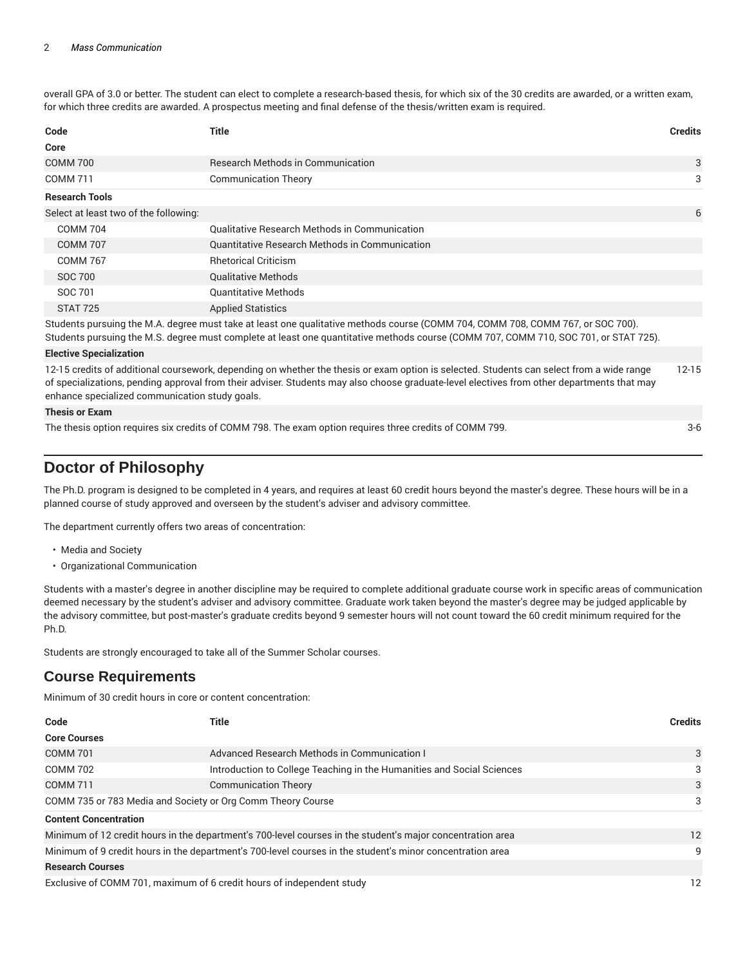overall GPA of 3.0 or better. The student can elect to complete a research-based thesis, for which six of the 30 credits are awarded, or a written exam, for which three credits are awarded. A prospectus meeting and final defense of the thesis/written exam is required.

| Code                                  | Title                                                                                                                         | <b>Credits</b> |
|---------------------------------------|-------------------------------------------------------------------------------------------------------------------------------|----------------|
| Core                                  |                                                                                                                               |                |
| <b>COMM 700</b>                       | <b>Research Methods in Communication</b>                                                                                      | 3              |
| <b>COMM 711</b>                       | <b>Communication Theory</b>                                                                                                   | 3              |
| <b>Research Tools</b>                 |                                                                                                                               |                |
| Select at least two of the following: |                                                                                                                               | 6              |
| <b>COMM 704</b>                       | <b>Qualitative Research Methods in Communication</b>                                                                          |                |
| <b>COMM 707</b>                       | <b>Quantitative Research Methods in Communication</b>                                                                         |                |
| <b>COMM 767</b>                       | <b>Rhetorical Criticism</b>                                                                                                   |                |
| SOC 700                               | <b>Qualitative Methods</b>                                                                                                    |                |
| SOC 701                               | <b>Quantitative Methods</b>                                                                                                   |                |
| STAT 725                              | <b>Applied Statistics</b>                                                                                                     |                |
|                                       | Students pursuing the M A degree must take at least one qualitative methods course (COMM 704, COMM 708, COMM 767, or SOC 700) |                |

uing the M.A. degree must take at least one qualitative methods course (COMM 704, COMM 708, COMM 767, or SOC Students pursuing the M.S. degree must complete at least one quantitative methods course (COMM 707, COMM 710, SOC 701, or STAT 725).

#### **Elective Specialization**

12-15 credits of additional coursework, depending on whether the thesis or exam option is selected. Students can select from a wide range of specializations, pending approval from their adviser. Students may also choose graduate-level electives from other departments that may enhance specialized communication study goals. 12-15

#### **Thesis or Exam**

The thesis option requires six credits of COMM 798. The exam option requires three credits of COMM 799. 3-6

# **Doctor of Philosophy**

The Ph.D. program is designed to be completed in 4 years, and requires at least 60 credit hours beyond the master's degree. These hours will be in a planned course of study approved and overseen by the student's adviser and advisory committee.

The department currently offers two areas of concentration:

- Media and Society
- Organizational Communication

Students with a master's degree in another discipline may be required to complete additional graduate course work in specific areas of communication deemed necessary by the student's adviser and advisory committee. Graduate work taken beyond the master's degree may be judged applicable by the advisory committee, but post-master's graduate credits beyond 9 semester hours will not count toward the 60 credit minimum required for the Ph.D.

Students are strongly encouraged to take all of the Summer Scholar courses.

### **Course Requirements**

Minimum of 30 credit hours in core or content concentration:

| Code                                                                                                       | Title                                                                  | <b>Credits</b> |
|------------------------------------------------------------------------------------------------------------|------------------------------------------------------------------------|----------------|
| <b>Core Courses</b>                                                                                        |                                                                        |                |
| <b>COMM 701</b>                                                                                            | Advanced Research Methods in Communication I                           | 3              |
| <b>COMM 702</b>                                                                                            | Introduction to College Teaching in the Humanities and Social Sciences | 3              |
| <b>COMM 711</b>                                                                                            | <b>Communication Theory</b>                                            | 3              |
| COMM 735 or 783 Media and Society or Org Comm Theory Course                                                |                                                                        | 3              |
| <b>Content Concentration</b>                                                                               |                                                                        |                |
| Minimum of 12 credit hours in the department's 700-level courses in the student's major concentration area |                                                                        | 12             |
| Minimum of 9 credit hours in the department's 700-level courses in the student's minor concentration area  |                                                                        | 9              |
| <b>Research Courses</b>                                                                                    |                                                                        |                |
| Exclusive of COMM 701, maximum of 6 credit hours of independent study                                      |                                                                        | 12             |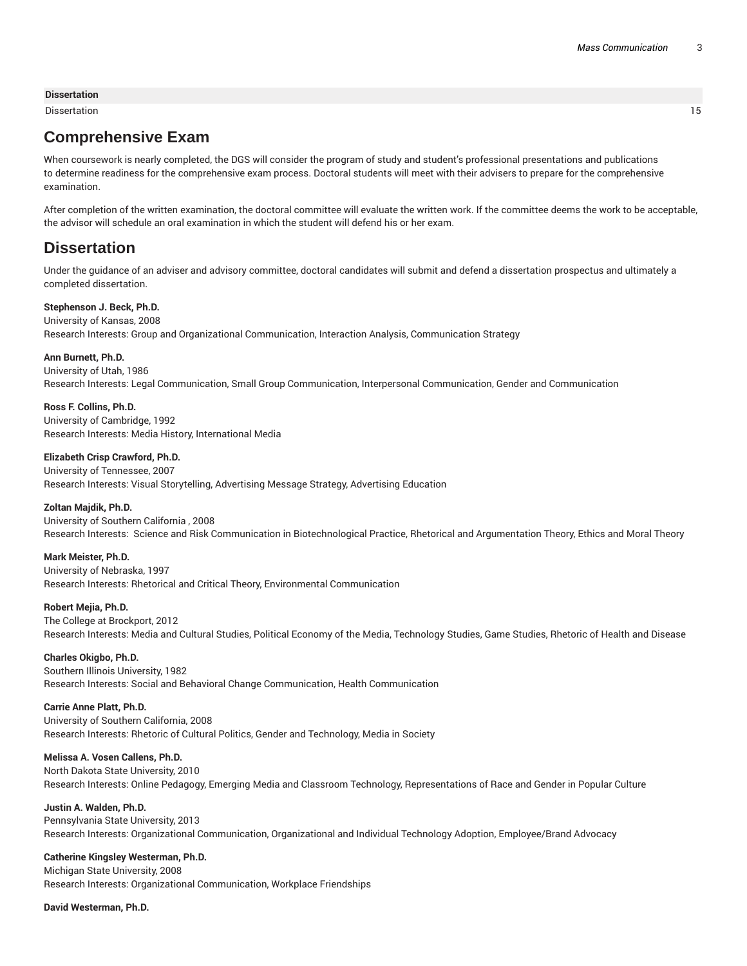#### **Dissertation**

Dissertation 15

# **Comprehensive Exam**

When coursework is nearly completed, the DGS will consider the program of study and student's professional presentations and publications to determine readiness for the comprehensive exam process. Doctoral students will meet with their advisers to prepare for the comprehensive examination.

After completion of the written examination, the doctoral committee will evaluate the written work. If the committee deems the work to be acceptable, the advisor will schedule an oral examination in which the student will defend his or her exam.

### **Dissertation**

Under the guidance of an adviser and advisory committee, doctoral candidates will submit and defend a dissertation prospectus and ultimately a completed dissertation.

#### **Stephenson J. Beck, Ph.D.**

University of Kansas, 2008 Research Interests: Group and Organizational Communication, Interaction Analysis, Communication Strategy

#### **Ann Burnett, Ph.D.**

University of Utah, 1986 Research Interests: Legal Communication, Small Group Communication, Interpersonal Communication, Gender and Communication

**Ross F. Collins, Ph.D.** University of Cambridge, 1992 Research Interests: Media History, International Media

**Elizabeth Crisp Crawford, Ph.D.** University of Tennessee, 2007 Research Interests: Visual Storytelling, Advertising Message Strategy, Advertising Education

#### **Zoltan Majdik, Ph.D.**

University of Southern California , 2008 Research Interests: Science and Risk Communication in Biotechnological Practice, Rhetorical and Argumentation Theory, Ethics and Moral Theory

#### **Mark Meister, Ph.D.**

University of Nebraska, 1997 Research Interests: Rhetorical and Critical Theory, Environmental Communication

#### **Robert Mejia, Ph.D.**

The College at Brockport, 2012

Research Interests: Media and Cultural Studies, Political Economy of the Media, Technology Studies, Game Studies, Rhetoric of Health and Disease

#### **Charles Okigbo, Ph.D.**

Southern Illinois University, 1982 Research Interests: Social and Behavioral Change Communication, Health Communication

### **Carrie Anne Platt, Ph.D.**

University of Southern California, 2008 Research Interests: Rhetoric of Cultural Politics, Gender and Technology, Media in Society

### **Melissa A. Vosen Callens, Ph.D.**

North Dakota State University, 2010 Research Interests: Online Pedagogy, Emerging Media and Classroom Technology, Representations of Race and Gender in Popular Culture

### **Justin A. Walden, Ph.D.**

Pennsylvania State University, 2013 Research Interests: Organizational Communication, Organizational and Individual Technology Adoption, Employee/Brand Advocacy

### **Catherine Kingsley Westerman, Ph.D.**

Michigan State University, 2008 Research Interests: Organizational Communication, Workplace Friendships

### **David Westerman, Ph.D.**